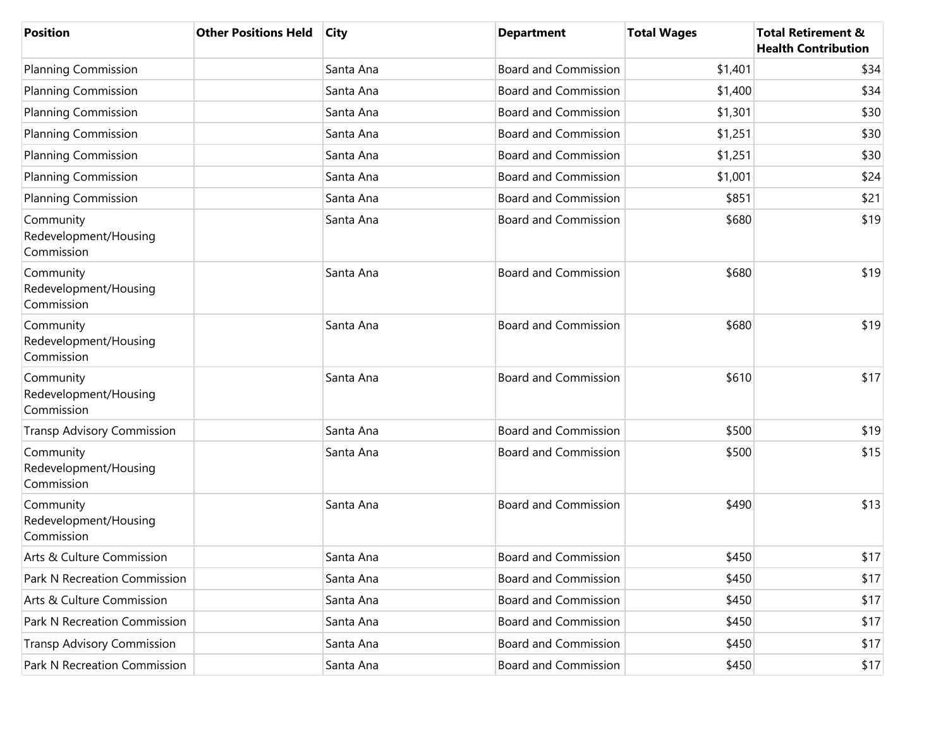| <b>Position</b>                                  | <b>Other Positions Held</b> | <b>City</b> | <b>Department</b>           | <b>Total Wages</b> | <b>Total Retirement &amp;</b><br><b>Health Contribution</b> |
|--------------------------------------------------|-----------------------------|-------------|-----------------------------|--------------------|-------------------------------------------------------------|
| <b>Planning Commission</b>                       |                             | Santa Ana   | <b>Board and Commission</b> | \$1,401            | \$34                                                        |
| <b>Planning Commission</b>                       |                             | Santa Ana   | <b>Board and Commission</b> | \$1,400            | \$34                                                        |
| <b>Planning Commission</b>                       |                             | Santa Ana   | <b>Board and Commission</b> | \$1,301            | \$30                                                        |
| <b>Planning Commission</b>                       |                             | Santa Ana   | <b>Board and Commission</b> | \$1,251            | \$30                                                        |
| <b>Planning Commission</b>                       |                             | Santa Ana   | <b>Board and Commission</b> | \$1,251            | \$30                                                        |
| <b>Planning Commission</b>                       |                             | Santa Ana   | <b>Board and Commission</b> | \$1,001            | \$24                                                        |
| <b>Planning Commission</b>                       |                             | Santa Ana   | <b>Board and Commission</b> | \$851              | \$21                                                        |
| Community<br>Redevelopment/Housing<br>Commission |                             | Santa Ana   | <b>Board and Commission</b> | \$680              | \$19                                                        |
| Community<br>Redevelopment/Housing<br>Commission |                             | Santa Ana   | <b>Board and Commission</b> | \$680              | \$19                                                        |
| Community<br>Redevelopment/Housing<br>Commission |                             | Santa Ana   | <b>Board and Commission</b> | \$680              | \$19                                                        |
| Community<br>Redevelopment/Housing<br>Commission |                             | Santa Ana   | <b>Board and Commission</b> | \$610              | \$17                                                        |
| <b>Transp Advisory Commission</b>                |                             | Santa Ana   | <b>Board and Commission</b> | \$500              | \$19                                                        |
| Community<br>Redevelopment/Housing<br>Commission |                             | Santa Ana   | <b>Board and Commission</b> | \$500              | \$15                                                        |
| Community<br>Redevelopment/Housing<br>Commission |                             | Santa Ana   | <b>Board and Commission</b> | \$490              | \$13                                                        |
| Arts & Culture Commission                        |                             | Santa Ana   | <b>Board and Commission</b> | \$450              | \$17                                                        |
| Park N Recreation Commission                     |                             | Santa Ana   | <b>Board and Commission</b> | \$450              | \$17                                                        |
| Arts & Culture Commission                        |                             | Santa Ana   | <b>Board and Commission</b> | \$450              | \$17                                                        |
| Park N Recreation Commission                     |                             | Santa Ana   | <b>Board and Commission</b> | \$450              | \$17                                                        |
| <b>Transp Advisory Commission</b>                |                             | Santa Ana   | <b>Board and Commission</b> | \$450              | \$17                                                        |
| Park N Recreation Commission                     |                             | Santa Ana   | <b>Board and Commission</b> | \$450              | \$17                                                        |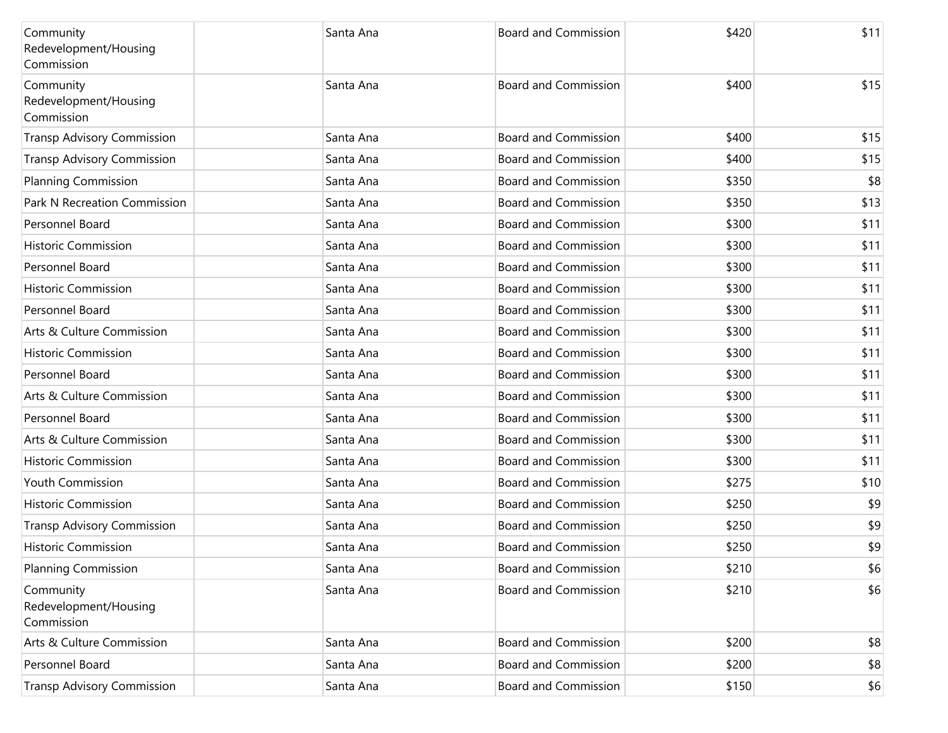| Community<br>Redevelopment/Housing<br>Commission | Santa Ana | <b>Board and Commission</b> | \$420 | \$11 |
|--------------------------------------------------|-----------|-----------------------------|-------|------|
| Community<br>Redevelopment/Housing<br>Commission | Santa Ana | <b>Board and Commission</b> | \$400 | \$15 |
| <b>Transp Advisory Commission</b>                | Santa Ana | <b>Board and Commission</b> | \$400 | \$15 |
| <b>Transp Advisory Commission</b>                | Santa Ana | <b>Board and Commission</b> | \$400 | \$15 |
| <b>Planning Commission</b>                       | Santa Ana | <b>Board and Commission</b> | \$350 | \$8  |
| Park N Recreation Commission                     | Santa Ana | <b>Board and Commission</b> | \$350 | \$13 |
| Personnel Board                                  | Santa Ana | <b>Board and Commission</b> | \$300 | \$11 |
| <b>Historic Commission</b>                       | Santa Ana | <b>Board and Commission</b> | \$300 | \$11 |
| Personnel Board                                  | Santa Ana | <b>Board and Commission</b> | \$300 | \$11 |
| <b>Historic Commission</b>                       | Santa Ana | <b>Board and Commission</b> | \$300 | \$11 |
| Personnel Board                                  | Santa Ana | <b>Board and Commission</b> | \$300 | \$11 |
| Arts & Culture Commission                        | Santa Ana | <b>Board and Commission</b> | \$300 | \$11 |
| <b>Historic Commission</b>                       | Santa Ana | <b>Board and Commission</b> | \$300 | \$11 |
| Personnel Board                                  | Santa Ana | <b>Board and Commission</b> | \$300 | \$11 |
| Arts & Culture Commission                        | Santa Ana | <b>Board and Commission</b> | \$300 | \$11 |
| Personnel Board                                  | Santa Ana | <b>Board and Commission</b> | \$300 | \$11 |
| Arts & Culture Commission                        | Santa Ana | <b>Board and Commission</b> | \$300 | \$11 |
| <b>Historic Commission</b>                       | Santa Ana | <b>Board and Commission</b> | \$300 | \$11 |
| <b>Youth Commission</b>                          | Santa Ana | <b>Board and Commission</b> | \$275 | \$10 |
| <b>Historic Commission</b>                       | Santa Ana | <b>Board and Commission</b> | \$250 | \$9  |
| <b>Transp Advisory Commission</b>                | Santa Ana | <b>Board and Commission</b> | \$250 | \$9  |
| <b>Historic Commission</b>                       | Santa Ana | <b>Board and Commission</b> | \$250 | \$9  |
| <b>Planning Commission</b>                       | Santa Ana | <b>Board and Commission</b> | \$210 | \$6  |
| Community<br>Redevelopment/Housing<br>Commission | Santa Ana | <b>Board and Commission</b> | \$210 | \$6  |
| Arts & Culture Commission                        | Santa Ana | <b>Board and Commission</b> | \$200 | \$8  |
| Personnel Board                                  | Santa Ana | <b>Board and Commission</b> | \$200 | \$8  |
| <b>Transp Advisory Commission</b>                | Santa Ana | <b>Board and Commission</b> | \$150 | \$6  |